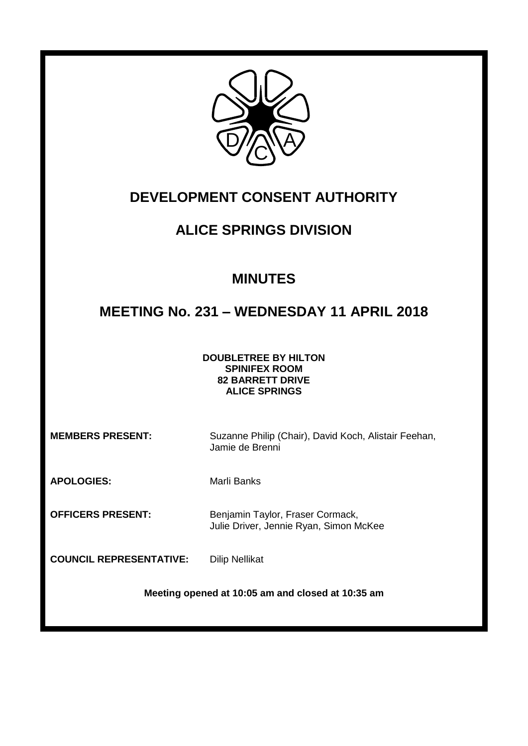

# **DEVELOPMENT CONSENT AUTHORITY**

# **ALICE SPRINGS DIVISION**

# **MINUTES**

# **MEETING No. 231 – WEDNESDAY 11 APRIL 2018**

### **DOUBLETREE BY HILTON SPINIFEX ROOM 82 BARRETT DRIVE ALICE SPRINGS**

**MEMBERS PRESENT:** Suzanne Philip (Chair), David Koch, Alistair Feehan, Jamie de Brenni

**APOLOGIES:** Marli Banks

**OFFICERS PRESENT:** Benjamin Taylor, Fraser Cormack, Julie Driver, Jennie Ryan, Simon McKee

**COUNCIL REPRESENTATIVE:** Dilip Nellikat

**Meeting opened at 10:05 am and closed at 10:35 am**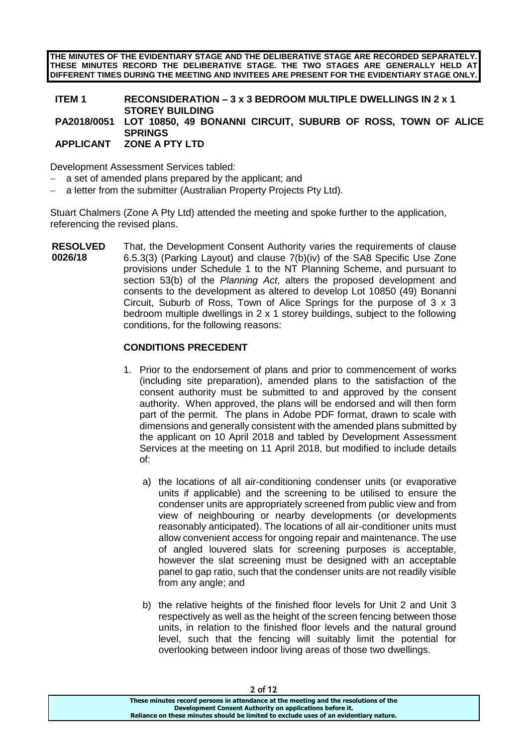**THE MINUTES OF THE EVIDENTIARY STAGE AND THE DELIBERATIVE STAGE ARE RECORDED SEPARATELY. THESE MINUTES RECORD THE DELIBERATIVE STAGE. THE TWO STAGES ARE GENERALLY HELD AT DIFFERENT TIMES DURING THE MEETING AND INVITEES ARE PRESENT FOR THE EVIDENTIARY STAGE ONLY.**

## **ITEM 1 RECONSIDERATION – 3 x 3 BEDROOM MULTIPLE DWELLINGS IN 2 x 1 STOREY BUILDING PA2018/0051 LOT 10850, 49 BONANNI CIRCUIT, SUBURB OF ROSS, TOWN OF ALICE SPRINGS APPLICANT ZONE A PTY LTD**

Development Assessment Services tabled:

- a set of amended plans prepared by the applicant; and
- a letter from the submitter (Australian Property Projects Pty Ltd).

Stuart Chalmers (Zone A Pty Ltd) attended the meeting and spoke further to the application, referencing the revised plans.

**RESOLVED 0026/18** That, the Development Consent Authority varies the requirements of clause 6.5.3(3) (Parking Layout) and clause 7(b)(iv) of the SA8 Specific Use Zone provisions under Schedule 1 to the NT Planning Scheme, and pursuant to section 53(b) of the *Planning Act*, alters the proposed development and consents to the development as altered to develop Lot 10850 (49) Bonanni Circuit, Suburb of Ross, Town of Alice Springs for the purpose of 3 x 3 bedroom multiple dwellings in 2 x 1 storey buildings, subject to the following conditions, for the following reasons:

## **CONDITIONS PRECEDENT**

- 1. Prior to the endorsement of plans and prior to commencement of works (including site preparation), amended plans to the satisfaction of the consent authority must be submitted to and approved by the consent authority. When approved, the plans will be endorsed and will then form part of the permit. The plans in Adobe PDF format, drawn to scale with dimensions and generally consistent with the amended plans submitted by the applicant on 10 April 2018 and tabled by Development Assessment Services at the meeting on 11 April 2018, but modified to include details of:
	- a) the locations of all air-conditioning condenser units (or evaporative units if applicable) and the screening to be utilised to ensure the condenser units are appropriately screened from public view and from view of neighbouring or nearby developments (or developments reasonably anticipated). The locations of all air-conditioner units must allow convenient access for ongoing repair and maintenance. The use of angled louvered slats for screening purposes is acceptable, however the slat screening must be designed with an acceptable panel to gap ratio, such that the condenser units are not readily visible from any angle; and
	- b) the relative heights of the finished floor levels for Unit 2 and Unit 3 respectively as well as the height of the screen fencing between those units, in relation to the finished floor levels and the natural ground level, such that the fencing will suitably limit the potential for overlooking between indoor living areas of those two dwellings.

| Z 01 12                                                                               |
|---------------------------------------------------------------------------------------|
| These minutes record persons in attendance at the meeting and the resolutions of the  |
| Development Consent Authority on applications before it.                              |
| Reliance on these minutes should be limited to exclude uses of an evidentiary nature. |
|                                                                                       |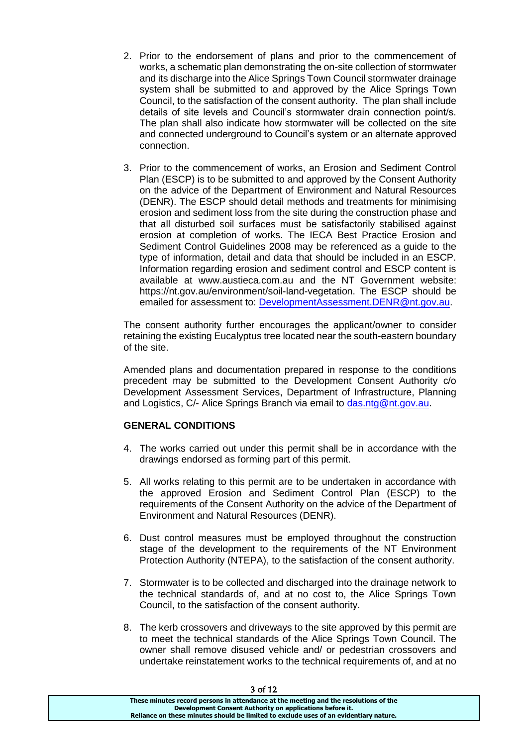- 2. Prior to the endorsement of plans and prior to the commencement of works, a schematic plan demonstrating the on-site collection of stormwater and its discharge into the Alice Springs Town Council stormwater drainage system shall be submitted to and approved by the Alice Springs Town Council, to the satisfaction of the consent authority. The plan shall include details of site levels and Council's stormwater drain connection point/s. The plan shall also indicate how stormwater will be collected on the site and connected underground to Council's system or an alternate approved connection.
- 3. Prior to the commencement of works, an Erosion and Sediment Control Plan (ESCP) is to be submitted to and approved by the Consent Authority on the advice of the Department of Environment and Natural Resources (DENR). The ESCP should detail methods and treatments for minimising erosion and sediment loss from the site during the construction phase and that all disturbed soil surfaces must be satisfactorily stabilised against erosion at completion of works. The IECA Best Practice Erosion and Sediment Control Guidelines 2008 may be referenced as a guide to the type of information, detail and data that should be included in an ESCP. Information regarding erosion and sediment control and ESCP content is available at www.austieca.com.au and the NT Government website: https://nt.gov.au/environment/soil-land-vegetation. The ESCP should be emailed for assessment to: [DevelopmentAssessment.DENR@nt.gov.au.](mailto:DevelopmentAssessment.DENR@nt.gov.au)

The consent authority further encourages the applicant/owner to consider retaining the existing Eucalyptus tree located near the south-eastern boundary of the site.

Amended plans and documentation prepared in response to the conditions precedent may be submitted to the Development Consent Authority c/o Development Assessment Services, Department of Infrastructure, Planning and Logistics, C/- Alice Springs Branch via email to [das.ntg@nt.gov.au.](mailto:das.ntg@nt.gov.au)

## **GENERAL CONDITIONS**

- 4. The works carried out under this permit shall be in accordance with the drawings endorsed as forming part of this permit.
- 5. All works relating to this permit are to be undertaken in accordance with the approved Erosion and Sediment Control Plan (ESCP) to the requirements of the Consent Authority on the advice of the Department of Environment and Natural Resources (DENR).
- 6. Dust control measures must be employed throughout the construction stage of the development to the requirements of the NT Environment Protection Authority (NTEPA), to the satisfaction of the consent authority.
- 7. Stormwater is to be collected and discharged into the drainage network to the technical standards of, and at no cost to, the Alice Springs Town Council, to the satisfaction of the consent authority.
- 8. The kerb crossovers and driveways to the site approved by this permit are to meet the technical standards of the Alice Springs Town Council. The owner shall remove disused vehicle and/ or pedestrian crossovers and undertake reinstatement works to the technical requirements of, and at no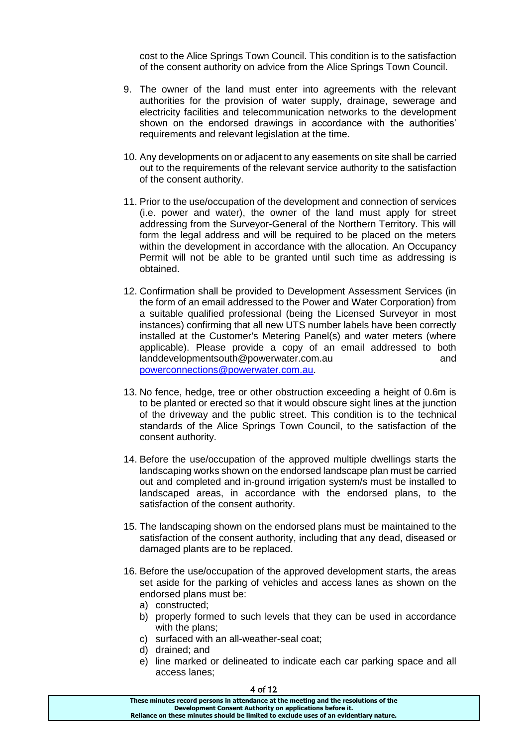cost to the Alice Springs Town Council. This condition is to the satisfaction of the consent authority on advice from the Alice Springs Town Council.

- 9. The owner of the land must enter into agreements with the relevant authorities for the provision of water supply, drainage, sewerage and electricity facilities and telecommunication networks to the development shown on the endorsed drawings in accordance with the authorities' requirements and relevant legislation at the time.
- 10. Any developments on or adjacent to any easements on site shall be carried out to the requirements of the relevant service authority to the satisfaction of the consent authority.
- 11. Prior to the use/occupation of the development and connection of services (i.e. power and water), the owner of the land must apply for street addressing from the Surveyor-General of the Northern Territory. This will form the legal address and will be required to be placed on the meters within the development in accordance with the allocation. An Occupancy Permit will not be able to be granted until such time as addressing is obtained.
- 12. Confirmation shall be provided to Development Assessment Services (in the form of an email addressed to the Power and Water Corporation) from a suitable qualified professional (being the Licensed Surveyor in most instances) confirming that all new UTS number labels have been correctly installed at the Customer's Metering Panel(s) and water meters (where applicable). Please provide a copy of an email addressed to both landdevelopmentsouth@powerwater.com.au button and and [powerconnections@powerwater.com.au.](mailto:powerconnections@powerwater.com.au)
- 13. No fence, hedge, tree or other obstruction exceeding a height of 0.6m is to be planted or erected so that it would obscure sight lines at the junction of the driveway and the public street. This condition is to the technical standards of the Alice Springs Town Council, to the satisfaction of the consent authority.
- 14. Before the use/occupation of the approved multiple dwellings starts the landscaping works shown on the endorsed landscape plan must be carried out and completed and in-ground irrigation system/s must be installed to landscaped areas, in accordance with the endorsed plans, to the satisfaction of the consent authority.
- 15. The landscaping shown on the endorsed plans must be maintained to the satisfaction of the consent authority, including that any dead, diseased or damaged plants are to be replaced.
- 16. Before the use/occupation of the approved development starts, the areas set aside for the parking of vehicles and access lanes as shown on the endorsed plans must be:
	- a) constructed;
	- b) properly formed to such levels that they can be used in accordance with the plans:
	- c) surfaced with an all-weather-seal coat;
	- d) drained; and
	- e) line marked or delineated to indicate each car parking space and all access lanes;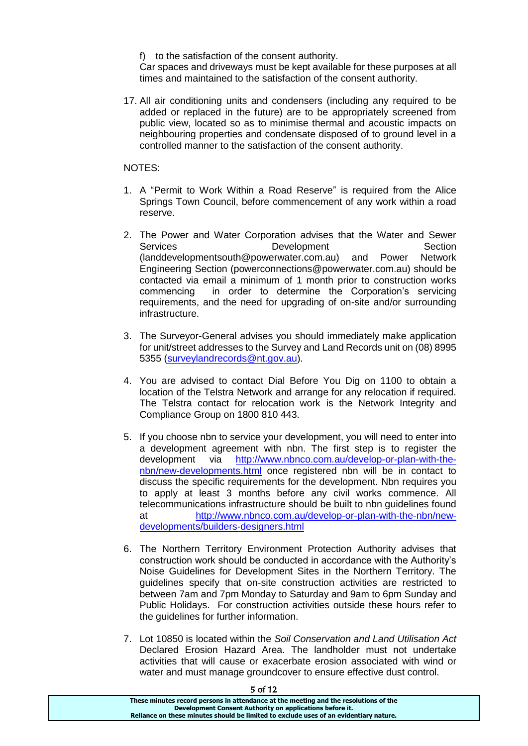f) to the satisfaction of the consent authority.

Car spaces and driveways must be kept available for these purposes at all times and maintained to the satisfaction of the consent authority.

17. All air conditioning units and condensers (including any required to be added or replaced in the future) are to be appropriately screened from public view, located so as to minimise thermal and acoustic impacts on neighbouring properties and condensate disposed of to ground level in a controlled manner to the satisfaction of the consent authority.

NOTES:

- 1. A "Permit to Work Within a Road Reserve" is required from the Alice Springs Town Council, before commencement of any work within a road reserve.
- 2. The Power and Water Corporation advises that the Water and Sewer Services Development Section (landdevelopmentsouth@powerwater.com.au) and Power Network Engineering Section (powerconnections@powerwater.com.au) should be contacted via email a minimum of 1 month prior to construction works commencing in order to determine the Corporation's servicing requirements, and the need for upgrading of on-site and/or surrounding infrastructure.
- 3. The Surveyor-General advises you should immediately make application for unit/street addresses to the Survey and Land Records unit on (08) 8995 5355 [\(surveylandrecords@nt.gov.au\)](mailto:surveylandrecords@nt.gov.au).
- 4. You are advised to contact Dial Before You Dig on 1100 to obtain a location of the Telstra Network and arrange for any relocation if required. The Telstra contact for relocation work is the Network Integrity and Compliance Group on 1800 810 443.
- 5. If you choose nbn to service your development, you will need to enter into a development agreement with nbn. The first step is to register the development via [http://www.nbnco.com.au/develop-or-plan-with-the](http://www.nbnco.com.au/develop-or-plan-with-the-nbn/new-developments.html)[nbn/new-developments.html](http://www.nbnco.com.au/develop-or-plan-with-the-nbn/new-developments.html) once registered nbn will be in contact to discuss the specific requirements for the development. Nbn requires you to apply at least 3 months before any civil works commence. All telecommunications infrastructure should be built to nbn guidelines found at [http://www.nbnco.com.au/develop-or-plan-with-the-nbn/new](http://www.nbnco.com.au/develop-or-plan-with-the-nbn/new-developments/builders-designers.html)[developments/builders-designers.html](http://www.nbnco.com.au/develop-or-plan-with-the-nbn/new-developments/builders-designers.html)
- 6. The Northern Territory Environment Protection Authority advises that construction work should be conducted in accordance with the Authority's Noise Guidelines for Development Sites in the Northern Territory. The guidelines specify that on-site construction activities are restricted to between 7am and 7pm Monday to Saturday and 9am to 6pm Sunday and Public Holidays. For construction activities outside these hours refer to the guidelines for further information.
- 7. Lot 10850 is located within the *Soil Conservation and Land Utilisation Act* Declared Erosion Hazard Area. The landholder must not undertake activities that will cause or exacerbate erosion associated with wind or water and must manage groundcover to ensure effective dust control.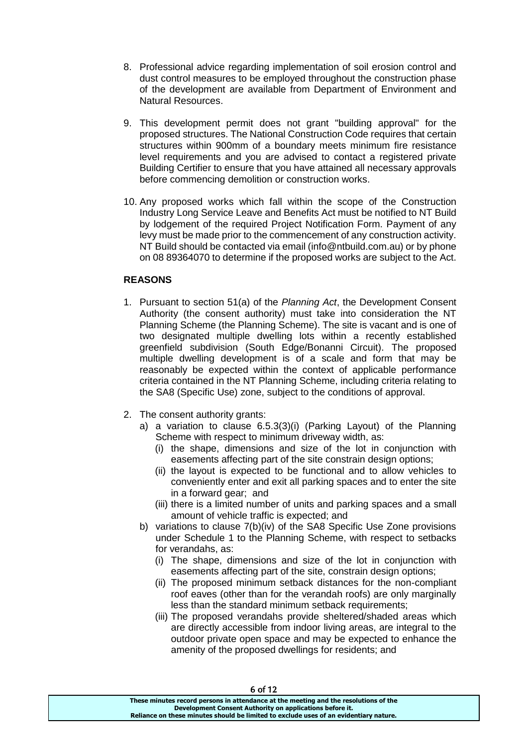- 8. Professional advice regarding implementation of soil erosion control and dust control measures to be employed throughout the construction phase of the development are available from Department of Environment and Natural Resources.
- 9. This development permit does not grant "building approval" for the proposed structures. The National Construction Code requires that certain structures within 900mm of a boundary meets minimum fire resistance level requirements and you are advised to contact a registered private Building Certifier to ensure that you have attained all necessary approvals before commencing demolition or construction works.
- 10. Any proposed works which fall within the scope of the Construction Industry Long Service Leave and Benefits Act must be notified to NT Build by lodgement of the required Project Notification Form. Payment of any levy must be made prior to the commencement of any construction activity. NT Build should be contacted via email (info@ntbuild.com.au) or by phone on 08 89364070 to determine if the proposed works are subject to the Act.

## **REASONS**

- 1. Pursuant to section 51(a) of the *Planning Act*, the Development Consent Authority (the consent authority) must take into consideration the NT Planning Scheme (the Planning Scheme). The site is vacant and is one of two designated multiple dwelling lots within a recently established greenfield subdivision (South Edge/Bonanni Circuit). The proposed multiple dwelling development is of a scale and form that may be reasonably be expected within the context of applicable performance criteria contained in the NT Planning Scheme, including criteria relating to the SA8 (Specific Use) zone, subject to the conditions of approval.
- 2. The consent authority grants:
	- a) a variation to clause 6.5.3(3)(i) (Parking Layout) of the Planning Scheme with respect to minimum driveway width, as:
		- (i) the shape, dimensions and size of the lot in conjunction with easements affecting part of the site constrain design options;
		- (ii) the layout is expected to be functional and to allow vehicles to conveniently enter and exit all parking spaces and to enter the site in a forward gear; and
		- (iii) there is a limited number of units and parking spaces and a small amount of vehicle traffic is expected; and
	- b) variations to clause 7(b)(iv) of the SA8 Specific Use Zone provisions under Schedule 1 to the Planning Scheme, with respect to setbacks for verandahs, as:
		- (i) The shape, dimensions and size of the lot in conjunction with easements affecting part of the site, constrain design options;
		- (ii) The proposed minimum setback distances for the non-compliant roof eaves (other than for the verandah roofs) are only marginally less than the standard minimum setback requirements;
		- (iii) The proposed verandahs provide sheltered/shaded areas which are directly accessible from indoor living areas, are integral to the outdoor private open space and may be expected to enhance the amenity of the proposed dwellings for residents; and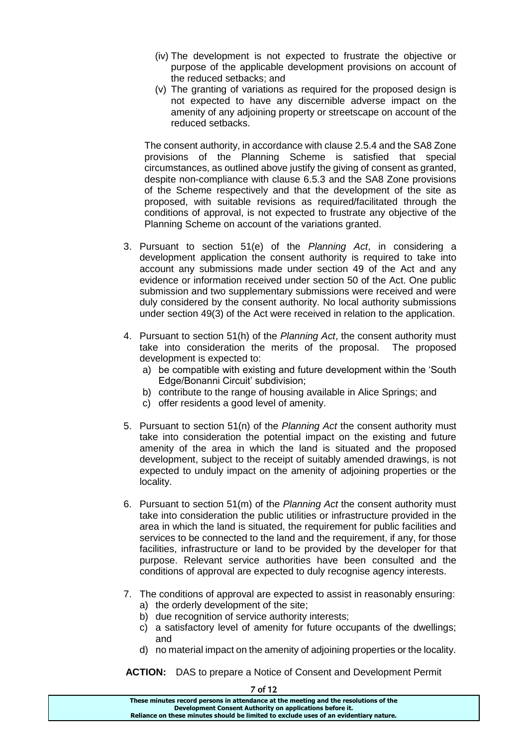- (iv) The development is not expected to frustrate the objective or purpose of the applicable development provisions on account of the reduced setbacks; and
- (v) The granting of variations as required for the proposed design is not expected to have any discernible adverse impact on the amenity of any adjoining property or streetscape on account of the reduced setbacks.

The consent authority, in accordance with clause 2.5.4 and the SA8 Zone provisions of the Planning Scheme is satisfied that special circumstances, as outlined above justify the giving of consent as granted, despite non-compliance with clause 6.5.3 and the SA8 Zone provisions of the Scheme respectively and that the development of the site as proposed, with suitable revisions as required/facilitated through the conditions of approval, is not expected to frustrate any objective of the Planning Scheme on account of the variations granted.

- 3. Pursuant to section 51(e) of the *Planning Act*, in considering a development application the consent authority is required to take into account any submissions made under section 49 of the Act and any evidence or information received under section 50 of the Act. One public submission and two supplementary submissions were received and were duly considered by the consent authority. No local authority submissions under section 49(3) of the Act were received in relation to the application.
- 4. Pursuant to section 51(h) of the *Planning Act*, the consent authority must take into consideration the merits of the proposal. The proposed development is expected to:
	- a) be compatible with existing and future development within the 'South Edge/Bonanni Circuit' subdivision;
	- b) contribute to the range of housing available in Alice Springs; and
	- c) offer residents a good level of amenity.
- 5. Pursuant to section 51(n) of the *Planning Act* the consent authority must take into consideration the potential impact on the existing and future amenity of the area in which the land is situated and the proposed development, subject to the receipt of suitably amended drawings, is not expected to unduly impact on the amenity of adjoining properties or the locality.
- 6. Pursuant to section 51(m) of the *Planning Act* the consent authority must take into consideration the public utilities or infrastructure provided in the area in which the land is situated, the requirement for public facilities and services to be connected to the land and the requirement, if any, for those facilities, infrastructure or land to be provided by the developer for that purpose. Relevant service authorities have been consulted and the conditions of approval are expected to duly recognise agency interests.
- 7. The conditions of approval are expected to assist in reasonably ensuring: a) the orderly development of the site;
	- b) due recognition of service authority interests:
	- c) a satisfactory level of amenity for future occupants of the dwellings; and
	- d) no material impact on the amenity of adjoining properties or the locality.

**ACTION:** DAS to prepare a Notice of Consent and Development Permit

| / OT 12                                                                               |  |
|---------------------------------------------------------------------------------------|--|
| These minutes record persons in attendance at the meeting and the resolutions of the  |  |
| Development Consent Authority on applications before it.                              |  |
| Reliance on these minutes should be limited to exclude uses of an evidentiary nature. |  |
|                                                                                       |  |

 $\overline{z}$  of  $\overline{z}$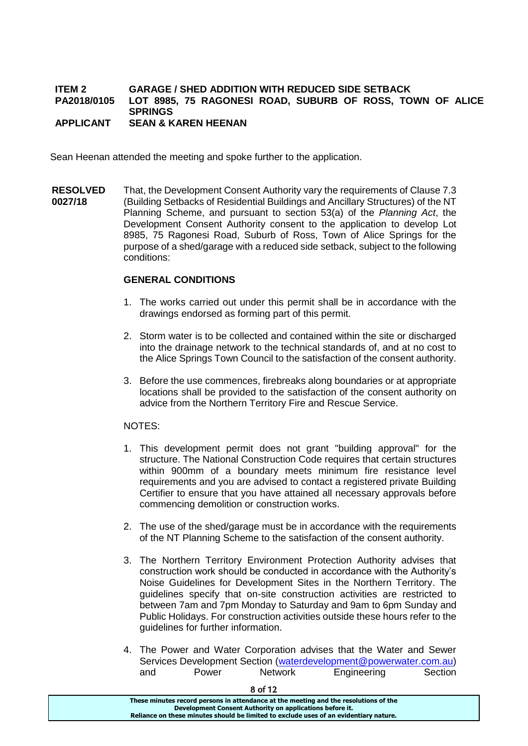### **ITEM 2 GARAGE / SHED ADDITION WITH REDUCED SIDE SETBACK PA2018/0105 LOT 8985, 75 RAGONESI ROAD, SUBURB OF ROSS, TOWN OF ALICE SPRINGS APPLICANT SEAN & KAREN HEENAN**

Sean Heenan attended the meeting and spoke further to the application.

**RESOLVED 0027/18** That, the Development Consent Authority vary the requirements of Clause 7.3 (Building Setbacks of Residential Buildings and Ancillary Structures) of the NT Planning Scheme, and pursuant to section 53(a) of the *Planning Act*, the Development Consent Authority consent to the application to develop Lot 8985, 75 Ragonesi Road, Suburb of Ross, Town of Alice Springs for the purpose of a shed/garage with a reduced side setback, subject to the following conditions:

## **GENERAL CONDITIONS**

- 1. The works carried out under this permit shall be in accordance with the drawings endorsed as forming part of this permit.
- 2. Storm water is to be collected and contained within the site or discharged into the drainage network to the technical standards of, and at no cost to the Alice Springs Town Council to the satisfaction of the consent authority.
- 3. Before the use commences, firebreaks along boundaries or at appropriate locations shall be provided to the satisfaction of the consent authority on advice from the Northern Territory Fire and Rescue Service.

NOTES:

- 1. This development permit does not grant "building approval" for the structure. The National Construction Code requires that certain structures within 900mm of a boundary meets minimum fire resistance level requirements and you are advised to contact a registered private Building Certifier to ensure that you have attained all necessary approvals before commencing demolition or construction works.
- 2. The use of the shed/garage must be in accordance with the requirements of the NT Planning Scheme to the satisfaction of the consent authority.
- 3. The Northern Territory Environment Protection Authority advises that construction work should be conducted in accordance with the Authority's Noise Guidelines for Development Sites in the Northern Territory. The guidelines specify that on-site construction activities are restricted to between 7am and 7pm Monday to Saturday and 9am to 6pm Sunday and Public Holidays. For construction activities outside these hours refer to the guidelines for further information.
- 4. The Power and Water Corporation advises that the Water and Sewer Services Development Section [\(waterdevelopment@powerwater.com.au\)](mailto:waterdevelopment@powerwater.com.au) and Power Network Engineering Section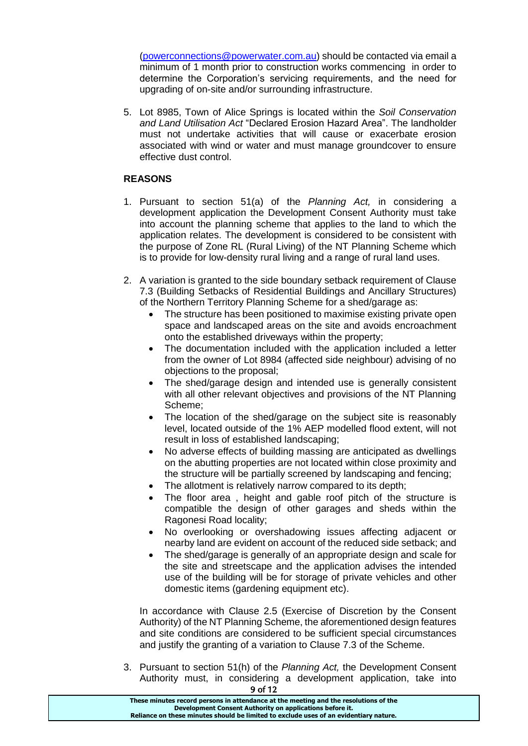[\(powerconnections@powerwater.com.au\)](mailto:powerconnections@powerwater.com.au) should be contacted via email a minimum of 1 month prior to construction works commencing in order to determine the Corporation's servicing requirements, and the need for upgrading of on-site and/or surrounding infrastructure.

5. Lot 8985, Town of Alice Springs is located within the *Soil Conservation and Land Utilisation Act* "Declared Erosion Hazard Area". The landholder must not undertake activities that will cause or exacerbate erosion associated with wind or water and must manage groundcover to ensure effective dust control.

## **REASONS**

- 1. Pursuant to section 51(a) of the *Planning Act,* in considering a development application the Development Consent Authority must take into account the planning scheme that applies to the land to which the application relates. The development is considered to be consistent with the purpose of Zone RL (Rural Living) of the NT Planning Scheme which is to provide for low-density rural living and a range of rural land uses.
- 2. A variation is granted to the side boundary setback requirement of Clause 7.3 (Building Setbacks of Residential Buildings and Ancillary Structures) of the Northern Territory Planning Scheme for a shed/garage as:
	- The structure has been positioned to maximise existing private open space and landscaped areas on the site and avoids encroachment onto the established driveways within the property;
	- The documentation included with the application included a letter from the owner of Lot 8984 (affected side neighbour) advising of no objections to the proposal;
	- The shed/garage design and intended use is generally consistent with all other relevant objectives and provisions of the NT Planning Scheme;
	- The location of the shed/garage on the subject site is reasonably level, located outside of the 1% AEP modelled flood extent, will not result in loss of established landscaping;
	- No adverse effects of building massing are anticipated as dwellings on the abutting properties are not located within close proximity and the structure will be partially screened by landscaping and fencing;
	- The allotment is relatively narrow compared to its depth;
	- The floor area, height and gable roof pitch of the structure is compatible the design of other garages and sheds within the Ragonesi Road locality;
	- No overlooking or overshadowing issues affecting adjacent or nearby land are evident on account of the reduced side setback; and
	- The shed/garage is generally of an appropriate design and scale for the site and streetscape and the application advises the intended use of the building will be for storage of private vehicles and other domestic items (gardening equipment etc).

In accordance with Clause 2.5 (Exercise of Discretion by the Consent Authority) of the NT Planning Scheme, the aforementioned design features and site conditions are considered to be sufficient special circumstances and justify the granting of a variation to Clause 7.3 of the Scheme.

9 of 12 3. Pursuant to section 51(h) of the *Planning Act,* the Development Consent Authority must, in considering a development application, take into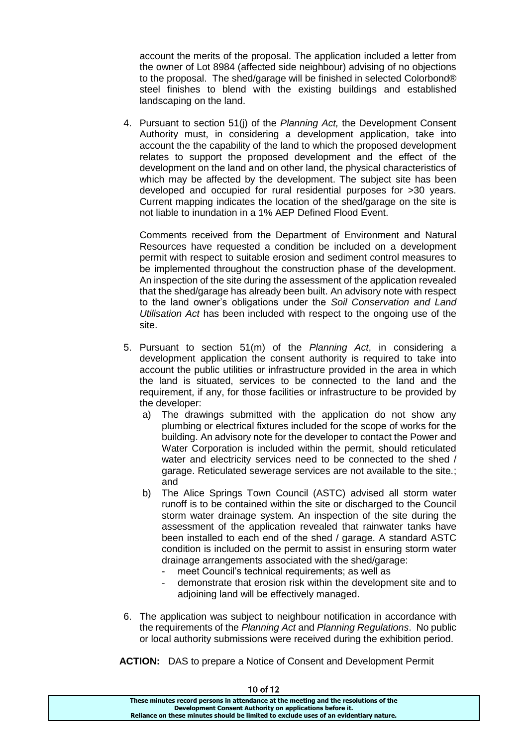account the merits of the proposal. The application included a letter from the owner of Lot 8984 (affected side neighbour) advising of no objections to the proposal. The shed/garage will be finished in selected Colorbond® steel finishes to blend with the existing buildings and established landscaping on the land.

4. Pursuant to section 51(j) of the *Planning Act,* the Development Consent Authority must, in considering a development application, take into account the the capability of the land to which the proposed development relates to support the proposed development and the effect of the development on the land and on other land, the physical characteristics of which may be affected by the development. The subject site has been developed and occupied for rural residential purposes for >30 years. Current mapping indicates the location of the shed/garage on the site is not liable to inundation in a 1% AEP Defined Flood Event.

Comments received from the Department of Environment and Natural Resources have requested a condition be included on a development permit with respect to suitable erosion and sediment control measures to be implemented throughout the construction phase of the development. An inspection of the site during the assessment of the application revealed that the shed/garage has already been built. An advisory note with respect to the land owner's obligations under the *Soil Conservation and Land Utilisation Act* has been included with respect to the ongoing use of the site.

- 5. Pursuant to section 51(m) of the *Planning Act*, in considering a development application the consent authority is required to take into account the public utilities or infrastructure provided in the area in which the land is situated, services to be connected to the land and the requirement, if any, for those facilities or infrastructure to be provided by the developer:
	- a) The drawings submitted with the application do not show any plumbing or electrical fixtures included for the scope of works for the building. An advisory note for the developer to contact the Power and Water Corporation is included within the permit, should reticulated water and electricity services need to be connected to the shed / garage. Reticulated sewerage services are not available to the site.; and
	- b) The Alice Springs Town Council (ASTC) advised all storm water runoff is to be contained within the site or discharged to the Council storm water drainage system. An inspection of the site during the assessment of the application revealed that rainwater tanks have been installed to each end of the shed / garage. A standard ASTC condition is included on the permit to assist in ensuring storm water drainage arrangements associated with the shed/garage:
		- meet Council's technical requirements; as well as
		- demonstrate that erosion risk within the development site and to adjoining land will be effectively managed.
- 6. The application was subject to neighbour notification in accordance with the requirements of the *Planning Act* and *Planning Regulations*. No public or local authority submissions were received during the exhibition period.
- **ACTION:** DAS to prepare a Notice of Consent and Development Permit

| TU 01 TZ                                                                              |
|---------------------------------------------------------------------------------------|
| These minutes record persons in attendance at the meeting and the resolutions of the  |
| Development Consent Authority on applications before it.                              |
| Reliance on these minutes should be limited to exclude uses of an evidentiary nature. |
|                                                                                       |

 $10 - 112$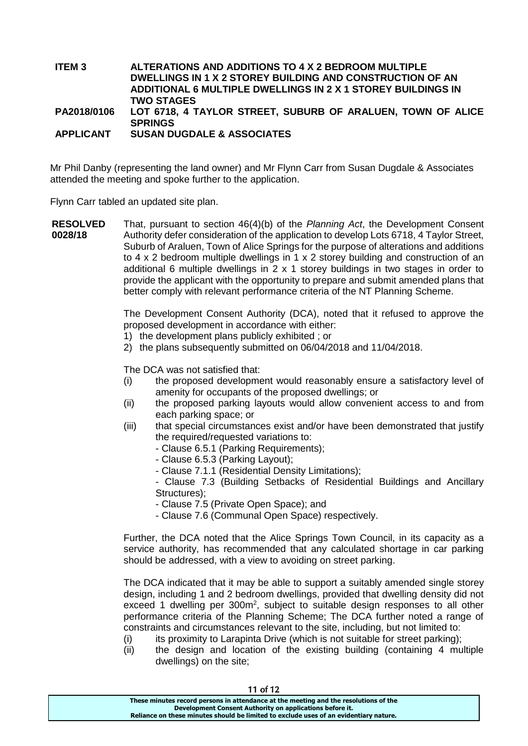### **ITEM 3 ALTERATIONS AND ADDITIONS TO 4 X 2 BEDROOM MULTIPLE DWELLINGS IN 1 X 2 STOREY BUILDING AND CONSTRUCTION OF AN ADDITIONAL 6 MULTIPLE DWELLINGS IN 2 X 1 STOREY BUILDINGS IN TWO STAGES PA2018/0106 LOT 6718, 4 TAYLOR STREET, SUBURB OF ARALUEN, TOWN OF ALICE SPRINGS**

**APPLICANT SUSAN DUGDALE & ASSOCIATES**

Mr Phil Danby (representing the land owner) and Mr Flynn Carr from Susan Dugdale & Associates attended the meeting and spoke further to the application.

Flynn Carr tabled an updated site plan.

**RESOLVED 0028/18** That, pursuant to section 46(4)(b) of the *Planning Act*, the Development Consent Authority defer consideration of the application to develop Lots 6718, 4 Taylor Street, Suburb of Araluen, Town of Alice Springs for the purpose of alterations and additions to 4 x 2 bedroom multiple dwellings in 1 x 2 storey building and construction of an additional 6 multiple dwellings in 2 x 1 storey buildings in two stages in order to provide the applicant with the opportunity to prepare and submit amended plans that better comply with relevant performance criteria of the NT Planning Scheme.

> The Development Consent Authority (DCA), noted that it refused to approve the proposed development in accordance with either:

- 1) the development plans publicly exhibited ; or
- 2) the plans subsequently submitted on 06/04/2018 and 11/04/2018.

The DCA was not satisfied that:

- (i) the proposed development would reasonably ensure a satisfactory level of amenity for occupants of the proposed dwellings; or
- (ii) the proposed parking layouts would allow convenient access to and from each parking space; or
- (iii) that special circumstances exist and/or have been demonstrated that justify the required/requested variations to:
	- Clause 6.5.1 (Parking Requirements);
	- Clause 6.5.3 (Parking Layout);
	- Clause 7.1.1 (Residential Density Limitations);

- Clause 7.3 (Building Setbacks of Residential Buildings and Ancillary Structures):

- Clause 7.5 (Private Open Space); and
- Clause 7.6 (Communal Open Space) respectively.

Further, the DCA noted that the Alice Springs Town Council, in its capacity as a service authority, has recommended that any calculated shortage in car parking should be addressed, with a view to avoiding on street parking.

The DCA indicated that it may be able to support a suitably amended single storey design, including 1 and 2 bedroom dwellings, provided that dwelling density did not exceed 1 dwelling per  $300m^2$ , subject to suitable design responses to all other performance criteria of the Planning Scheme; The DCA further noted a range of constraints and circumstances relevant to the site, including, but not limited to:

- $(i)$  its proximity to Larapinta Drive (which is not suitable for street parking):
- (ii) the design and location of the existing building (containing 4 multiple dwellings) on the site;

| 11 of 12                                                                              |
|---------------------------------------------------------------------------------------|
| These minutes record persons in attendance at the meeting and the resolutions of the  |
| Development Consent Authority on applications before it.                              |
| Reliance on these minutes should be limited to exclude uses of an evidentiary nature. |
|                                                                                       |

11 - C<sub>10</sub>